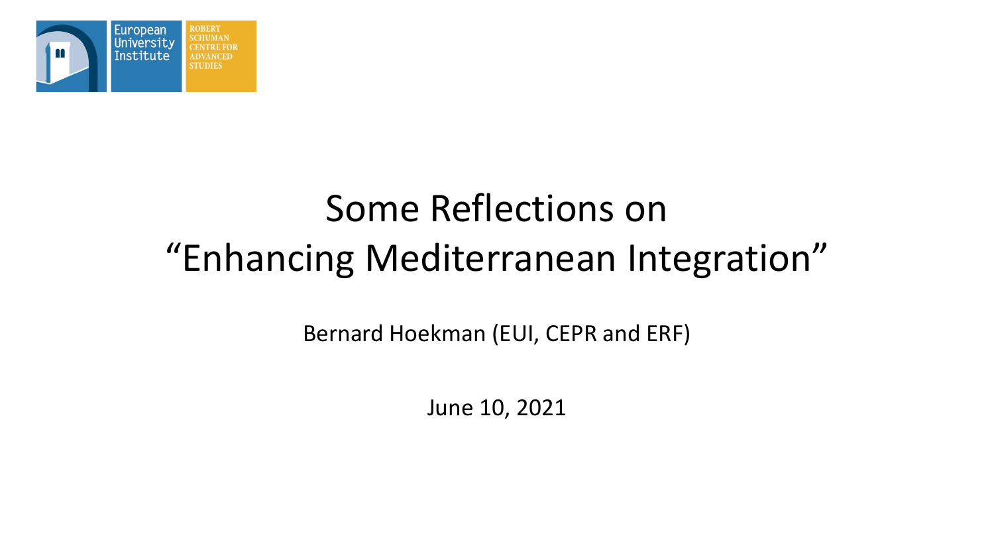

# Some Reflections on "Enhancing Mediterranean Integration"

Bernard Hoekman (EUI, CEPR and ERF)

June 10, 2021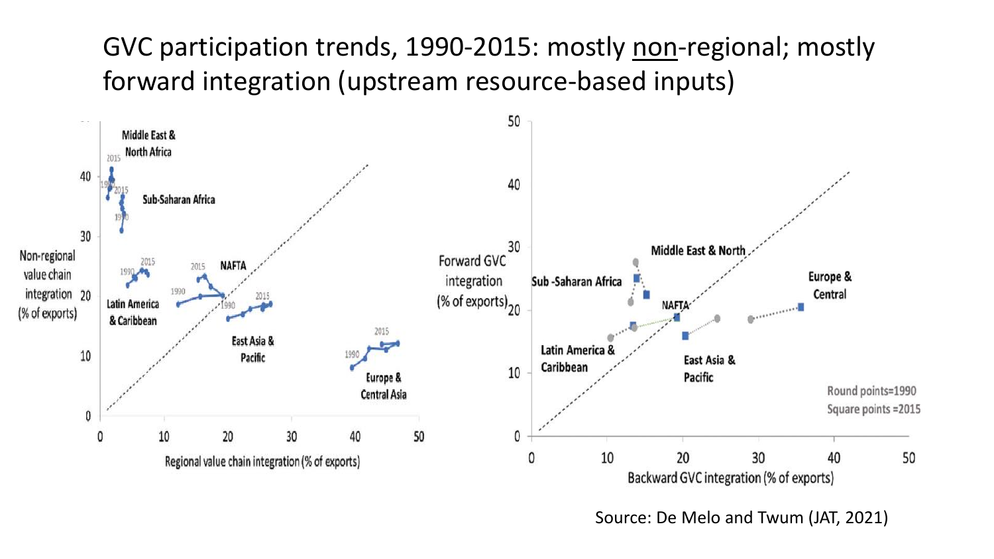### GVC participation trends, 1990-2015: mostly non-regional; mostly forward integration (upstream resource-based inputs)



Source: De Melo and Twum (JAT, 2021)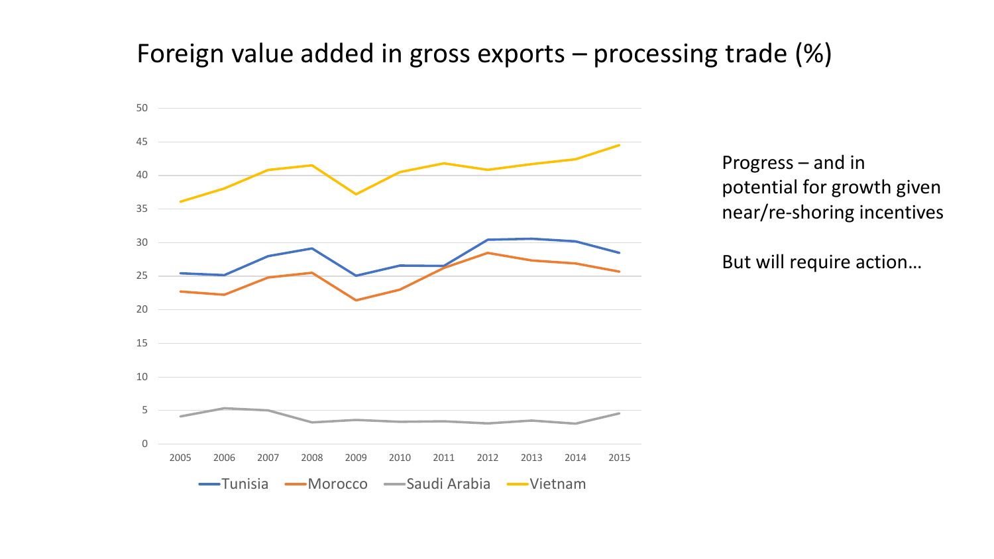#### Foreign value added in gross exports – processing trade (%)



Progress – and in potential for growth given near/re-shoring incentives

But will require action…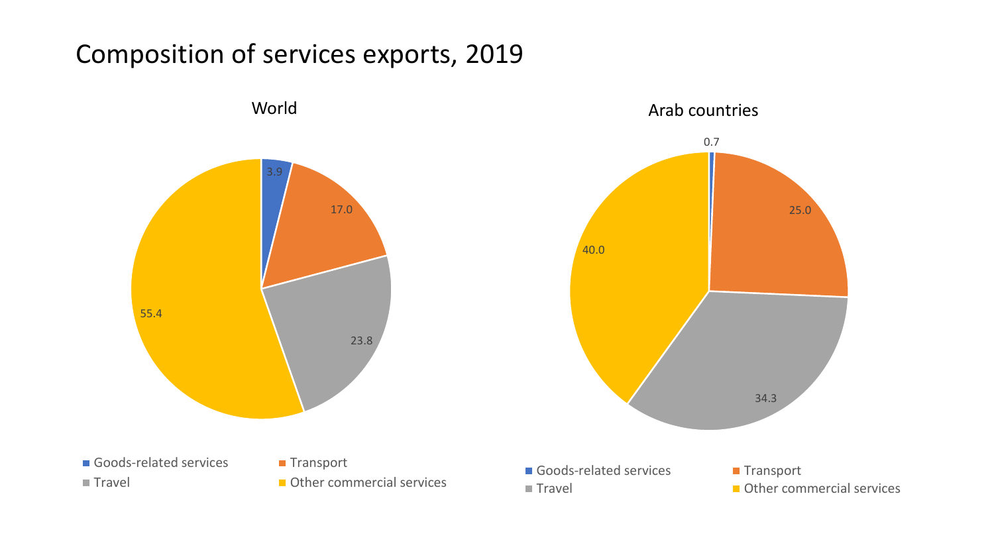#### Composition of services exports, 2019

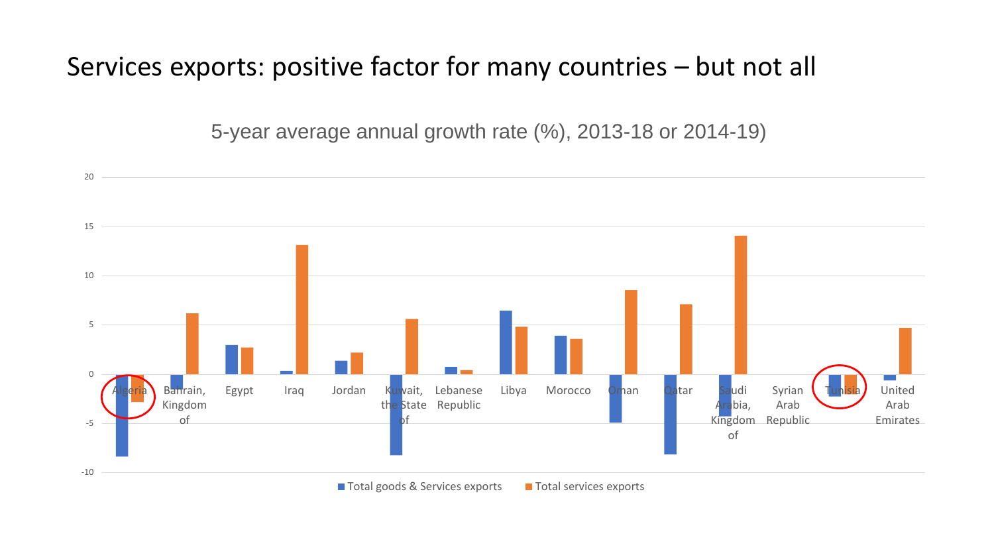#### Services exports: positive factor for many countries – but not all

5-year average annual growth rate (%), 2013-18 or 2014-19)



■ Total goods & Services exports ■ Total services exports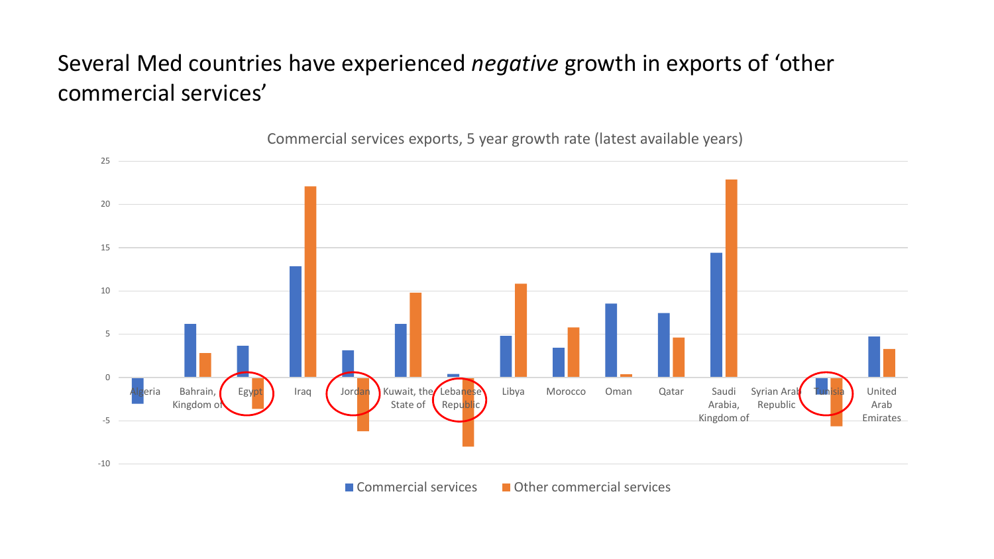#### Several Med countries have experienced *negative* growth in exports of 'other commercial services'

-10 -5 0 5 10 15 20 25 zeria Bahrain, Kingdom of Egypt Iraq Jordan Kuwait, the Lebanese State of Republic Libya Morocco Oman Qatar Saudi Arabia, Kingdom of Syrian Arab Republic United Arab Emirates

Commercial services exports, 5 year growth rate (latest available years)

 $\blacksquare$  Commercial services  $\blacksquare$  Other commercial services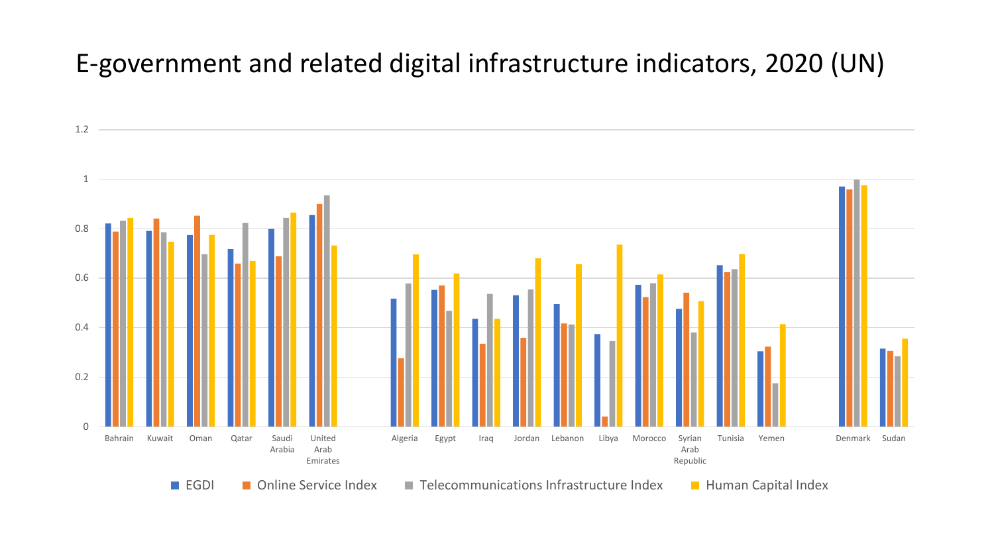#### E-government and related digital infrastructure indicators, 2020 (UN)

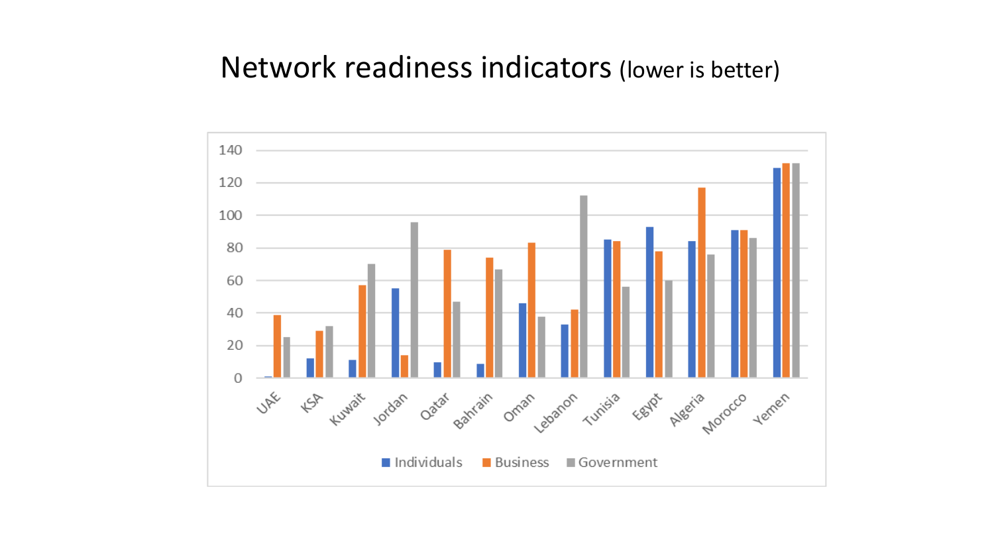#### Network readiness indicators (lower is better)

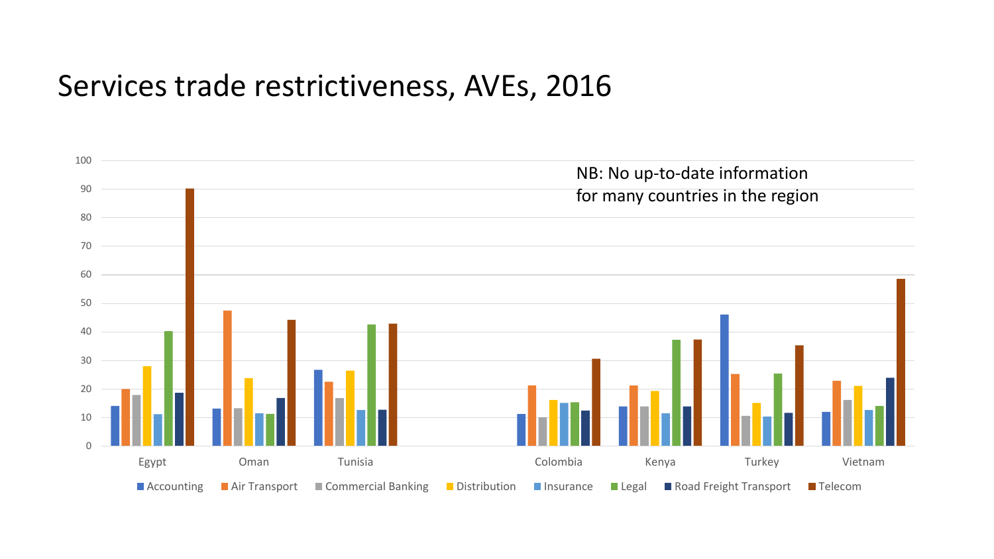#### Services trade restrictiveness, AVEs, 2016

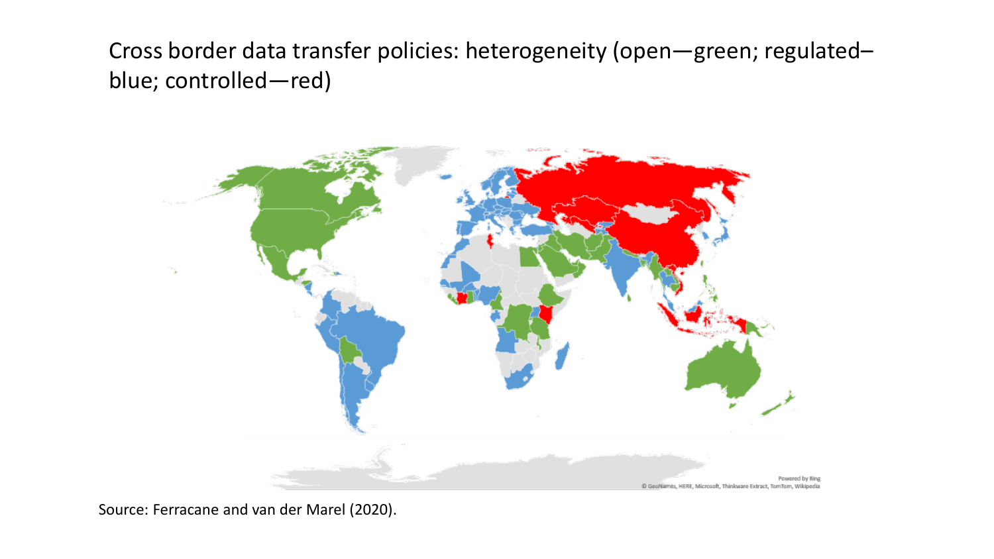Cross border data transfer policies: heterogeneity (open—green; regulated– blue; controlled—red)



Source: Ferracane and van der Marel (2020).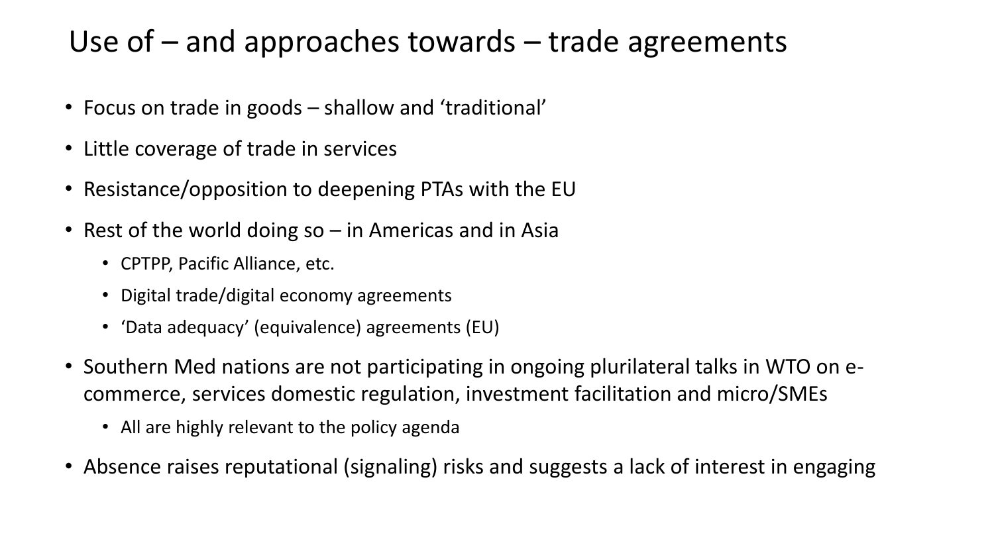# Use of  $-$  and approaches towards  $-$  trade agreements

- Focus on trade in goods shallow and 'traditional'
- Little coverage of trade in services
- Resistance/opposition to deepening PTAs with the EU
- Rest of the world doing so in Americas and in Asia
	- CPTPP, Pacific Alliance, etc.
	- Digital trade/digital economy agreements
	- 'Data adequacy' (equivalence) agreements (EU)
- Southern Med nations are not participating in ongoing plurilateral talks in WTO on ecommerce, services domestic regulation, investment facilitation and micro/SMEs
	- All are highly relevant to the policy agenda
- Absence raises reputational (signaling) risks and suggests a lack of interest in engaging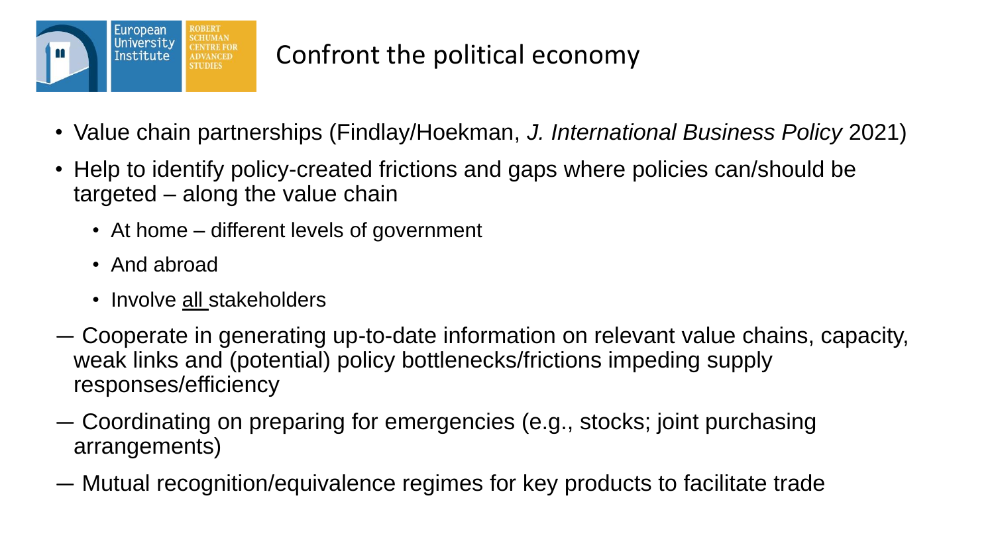

- Value chain partnerships (Findlay/Hoekman, *J. International Business Policy* 2021)
- Help to identify policy-created frictions and gaps where policies can/should be targeted – along the value chain
	- At home different levels of government
	- And abroad
	- Involve all stakeholders
- ― Cooperate in generating up-to-date information on relevant value chains, capacity, weak links and (potential) policy bottlenecks/frictions impeding supply responses/efficiency
- ― Coordinating on preparing for emergencies (e.g., stocks; joint purchasing arrangements)
- ― Mutual recognition/equivalence regimes for key products to facilitate trade